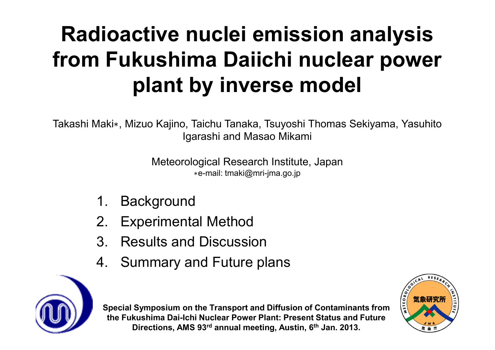# **Radioactive nuclei emission analysis from Fukushima Daiichi nuclear power plant by inverse model**

Takashi Maki∗, Mizuo Kajino, Taichu Tanaka, Tsuyoshi Thomas Sekiyama, YasuhitoIgarashi and Masao Mikami

> Meteorological Research Institute, Japan∗e-mail: tmaki@mri-jma.go.jp

- 1. Background
- 2. Experimental Method
- 3. Results and Discussion
- 4. Summary and Future plans



**Special Symposium on the Transport and Diffusion of Contaminants from the Fukushima Dai-Ichi Nuclear Power Plant: Present Status and Future Directions, AMS 93rd annual meeting, Austin, 6th Jan. 2013.**

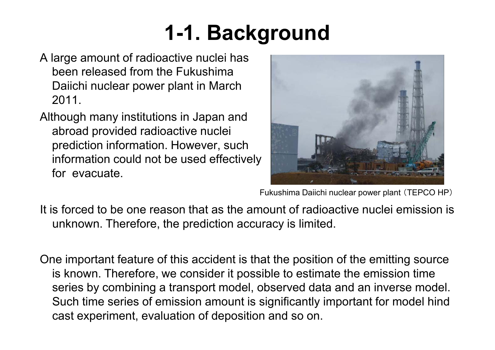# **1-1. Background**

- A large amount of radioactive nuclei has been released from the Fukushima Daiichi nuclear power plant in March 2011.
- Although many institutions in Japan and abroad provided radioactive nuclei prediction information. However, such information could not be used effectively for evacuate.



Fukushima Daiichi nuclear power plant (TEPCO HP)

- It is forced to be one reason that as the amount of radioactive nuclei emission is unknown. Therefore, the prediction accuracy is limited.
- One important feature of this accident is that the position of the emitting source is known. Therefore, we consider it possible to estimate the emission time series by combining a transport model, observed data and an inverse model. Such time series of emission amount is significantly important for model hind cast experiment, evaluation of deposition and so on.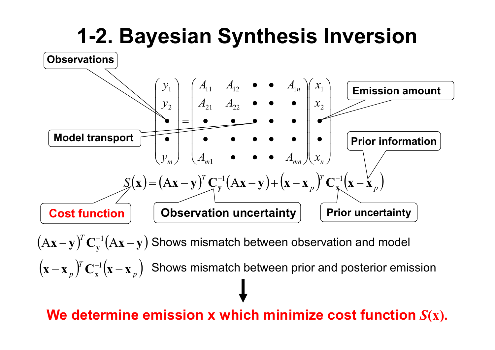

 $(A\mathbf{x}-\mathbf{y})^T \mathbf{C}_{\mathbf{y}}^{-1} (A\mathbf{x}-\mathbf{y})$ −**y**)<sup>'</sup> C<sub>y</sub><sup>-1</sup>(Ax –  $\mathbf{A}\mathbf{x}-\mathbf{y} \big)^{ \mathrm{\scriptscriptstyle T} } \mathbf{C}^{-1}_\mathbf{v} (\mathbf{A}\mathbf{x}-\mathbf{y})$  Shows mismatch between observation and model ()()*pT* **x**−**x** $_{p}$ **fC**<sub>**x**</sub><sup>-1</sup>**(x**−**x**  $\mathbf{X}^{-1}(\mathbf{x}-\mathbf{x}_{\perp})$  Shows mismatch between prior and posterior emission

#### **We determine emission x which minimize cost function***S***(x).**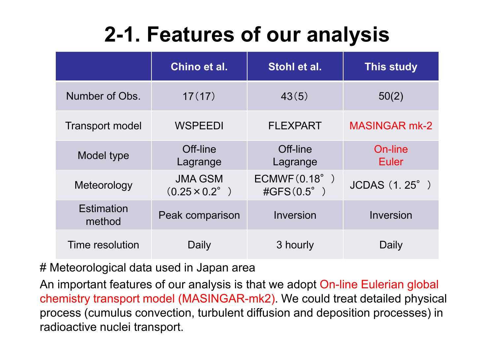## **2-1. Features of our analysis**

|                             | Chino et al.                                  | Stohl et al.                              | <b>This study</b>    |
|-----------------------------|-----------------------------------------------|-------------------------------------------|----------------------|
| Number of Obs.              | 17(17)                                        | 43(5)                                     | 50(2)                |
| <b>Transport model</b>      | <b>WSPEEDI</b>                                | <b>FLEXPART</b>                           | <b>MASINGAR mk-2</b> |
| Model type                  | Off-line<br>Lagrange                          | Off-line<br>Lagrange                      | On-line<br>Euler     |
| Meteorology                 | <b>JMA GSM</b><br>$(0.25 \times 0.2^{\circ})$ | ECMWF(0.18°)<br>$\text{\#GFS}(0.5^\circ)$ | JCDAS (1.25°)        |
| <b>Estimation</b><br>method | Peak comparison                               | Inversion                                 | Inversion            |
| Time resolution             | Daily                                         | 3 hourly                                  | Daily                |

# Meteorological data used in Japan area

An important features of our analysis is that we adopt On-line Eulerian global chemistry transport model (MASINGAR-mk2). We could treat detailed physical process (cumulus convection, turbulent diffusion and deposition processes) in radioactive nuclei transport.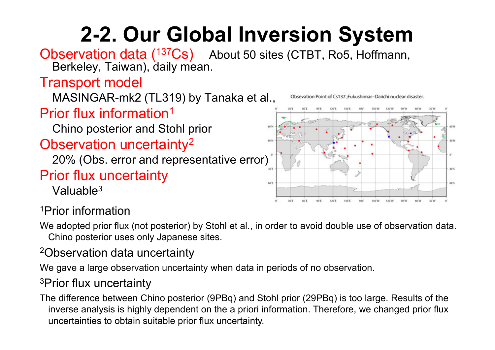# **2-2. Our Global Inversion System**

Observation data (<sup>137</sup>Cs) About 50 sites (CTBT, Ro5, Hoffmann, Berkeley, Taiwan), daily mean.

### Transport model

MASINGAR-mk2 (TL319) by Tanaka et al.,

### Prior flux information $^1$

Chino posterior and Stohl prior

#### Observation uncertainty<sup>2</sup>

20% (Obs. error and representative error)

### Prior flux uncertainty

Valuable<sup>3</sup>

Obsevation Point of Cs137 :Fukushimar-Daiichi nuclear disaster.



1Prior information

 We adopted prior flux (not posterior) by Stohl et al., in order to avoid double use of observation data. Chino posterior uses only Japanese sites.

#### 2Observation data uncertainty

We gave a large observation uncertainty when data in periods of no observation.

#### 3Prior flux uncertainty

The difference between Chino posterior (9PBq) and Stohl prior (29PBq) is too large. Results of the inverse analysis is highly dependent on the a priori information. Therefore, we changed prior flux uncertainties to obtain suitable prior flux uncertainty.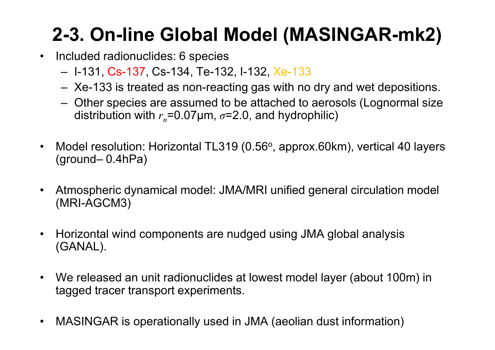## **2-3. On-line Global Model (MASINGAR-mk2)**

- $\bullet$  Included radionuclides: 6 species
	- I-131, Cs-137, Cs-134, Te-132, I-132, Xe-133
	- Xe-133 is treated as non-reacting gas with no dry and wet depositions.
	- Other species are assumed to be attached to aerosols (Lognormal size<br>distribution with  $x = 0.07$ um  $z = 2.0$  and bydrophilie) distribution with *<sup>r</sup>n*=0.07µm, *σ*=2.0, and hydrophilic)
- $\bullet$ Model resolution: Horizontal TL319 (0.56°, approx.60km), vertical 40 layers (around 0.4bPa) (ground– 0.4hPa)
- • Atmospheric dynamical model: JMA/MRI unified general circulation model (MRI-AGCM3)
- $\bullet$  Horizontal wind components are nudged using JMA global analysis (GANAL).
- $\bullet$  We released an unit radionuclides at lowest model layer (about 100m) in tagged tracer transport experiments.
- •MASINGAR is operationally used in JMA (aeolian dust information)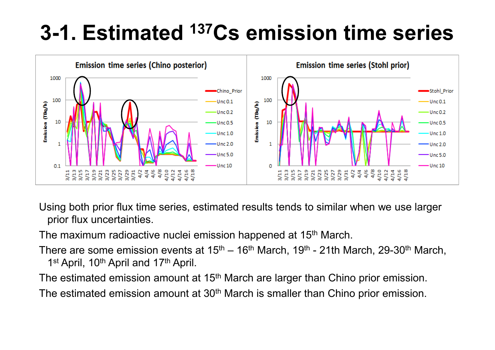## **3-1. Estimated 137Cs emission time series**



Using both prior flux time series, estimated results tends to similar when we use larger prior flux uncertainties.

The maximum radioactive nuclei emission happened at 15<sup>th</sup> March.

There are some emission events at 15<sup>th</sup> – 16<sup>th</sup> March, 19<sup>th</sup> - 21th March, 29-30<sup>th</sup> March,<br>1st Angil, 19th Angil and 17th Angil 1<sup>st</sup> April, 10<sup>th</sup> April and 17<sup>th</sup> April.

The estimated emission amount at 15<sup>th</sup> March are larger than Chino prior emission.

The estimated emission amount at 30<sup>th</sup> March is smaller than Chino prior emission.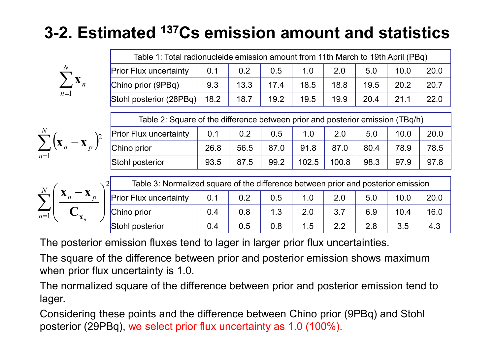### **3-2. Estimated 137Cs emission amount and statistics**

|       | n |
|-------|---|
| $n=1$ |   |

| Table 1: Total radionucleide emission amount from 11th March to 19th April (PBq) |     |      |      |      |      |      |      |      |
|----------------------------------------------------------------------------------|-----|------|------|------|------|------|------|------|
| <b>Prior Flux uncertainty</b>                                                    | 0.1 | 0.2  | 0.5  | 1.0  | 2.0  | 5.0  | 10.0 | 20.0 |
| Chino prior (9PBq)                                                               | 9.3 | 13.3 | 17.4 | 18.5 | 18.8 | 19.5 | 20.2 | 20.7 |
| Stohl posterior $(28PBq)$ 18.2                                                   |     | 18.7 | 19.2 | 19.5 | 19.9 | 20.4 | 21.1 | 22.0 |

| $\overline{N}$<br>$\mathbf{v}$<br>$\mathbf{A}_n$<br>$\mathbf{A}$<br>$n=1$ | <b>Prior Flux uncertainty</b> | 0.1  | 0.2  | 0.5  |          | $\Omega$<br>Z.U | 5.0  | 10.0 | 20.0 |
|---------------------------------------------------------------------------|-------------------------------|------|------|------|----------|-----------------|------|------|------|
|                                                                           | Chino prior                   | 26.8 | 56.5 | 87.0 | 91<br>.8 | 87.             | 80.4 | 78.9 | 78.5 |
|                                                                           | Stohl posterior               | 93.5 | 87.5 | 99.2 | 102.5    | 100.8           | 98.3 | 97.9 | 97.8 |

$$
\sum_{n=1}^{N} \left( \frac{\mathbf{x}_n - \mathbf{x}_p}{\mathbf{C}_{\mathbf{x}_n}} \right)^2
$$

| Table 3: Normalized square of the difference between prior and posterior emission<br>$\overline{2}$ |     |     |     |     |     |     |      |      |
|-----------------------------------------------------------------------------------------------------|-----|-----|-----|-----|-----|-----|------|------|
| <b>Prior Flux uncertainty</b>                                                                       | 0.1 | 0.2 | 0.5 | 1.0 | 2.0 | 5.0 | 10.0 | 20.0 |
| Chino prior                                                                                         | 0.4 | 0.8 | 1.3 | 2.0 | 3.7 | 6.9 | 10.4 | 16.0 |
| Stohl posterior                                                                                     | 0.4 | 0.5 | 0.8 | 1.5 | 22  | 2.8 | 3.5  | 4.3  |

The posterior emission fluxes tend to lager in larger prior flux uncertainties.

The square of the difference between prior and posterior emission shows maximum when prior flux uncertainty is 1.0.

The normalized square of the difference between prior and posterior emission tend to lager.

Considering these points and the difference between Chino prior (9PBq) and Stohlposterior (29PBq), we select prior flux uncertainty as 1.0 (100%).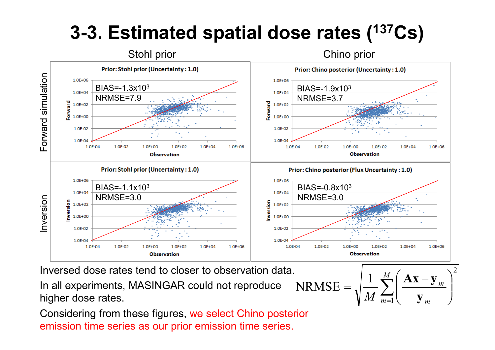### **3-3. Estimated spatial dose rates (137Cs)**



Inversed dose rates tend to closer to observation data.

In all experiments, MASINGAR could not reproduce higher dose rates.

Considering from these figures, we select Chino posterior emission time series as our prior emission time series.

NRMSE = 
$$
\sqrt{\frac{1}{M} \sum_{m=1}^{M} \left( \frac{\mathbf{A} \mathbf{x} - \mathbf{y}_m}{\mathbf{y}_m} \right)^2}
$$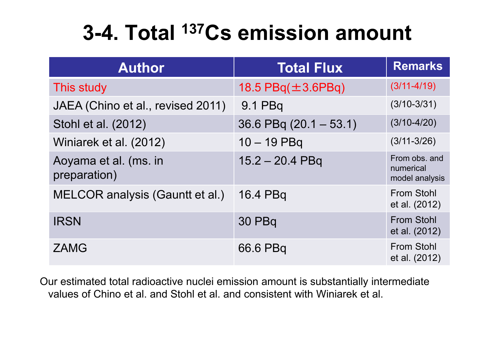## **3-4. Total 137Cs emission amount**

| <b>Author</b>                         | <b>Total Flux</b>          | <b>Remarks</b>                               |
|---------------------------------------|----------------------------|----------------------------------------------|
| This study                            | 18.5 $PBq(\pm 3.6PBq)$     | $(3/11 - 4/19)$                              |
| JAEA (Chino et al., revised 2011)     | 9.1 PBq                    | $(3/10-3/31)$                                |
| Stohl et al. (2012)                   | $36.6$ PBq $(20.1 - 53.1)$ | $(3/10-4/20)$                                |
| Winiarek et al. (2012)                | $10 - 19$ PBq              | $(3/11 - 3/26)$                              |
| Aoyama et al. (ms. in<br>preparation) | $15.2 - 20.4$ PBq          | From obs. and<br>numerical<br>model analysis |
| MELCOR analysis (Gauntt et al.)       | 16.4 PBq                   | <b>From Stohl</b><br>et al. (2012)           |
| <b>IRSN</b>                           | <b>30 PBq</b>              | <b>From Stohl</b><br>et al. (2012)           |
| <b>ZAMG</b>                           | 66.6 PBq                   | <b>From Stohl</b><br>et al. (2012)           |

Our estimated total radioactive nuclei emission amount is substantially intermediate values of Chino et al. and Stohl et al. and consistent with Winiarek et al.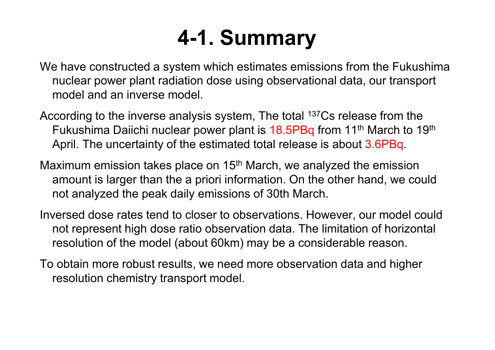## **4-1. Summary**

We have constructed a system which estimates emissions from the Fukushima nuclear power plant radiation dose using observational data, our transport model and an inverse model.

According to the inverse analysis system, The total <sup>137</sup>Cs release from the Fukushima Daiichi nuclear power plant is 18.5PBq from 11<sup>th</sup> March to 19<sup>th</sup> April. The uncertainty of the estimated total release is about 3.6PBq.

Maximum emission takes place on 15<sup>th</sup> March, we analyzed the emission amount is larger than the a priori information. On the other hand, we could not analyzed the peak daily emissions of 30th March.

Inversed dose rates tend to closer to observations. However, our model could not represent high dose ratio observation data. The limitation of horizontal resolution of the model (about 60km) may be a considerable reason.

To obtain more robust results, we need more observation data and higher resolution chemistry transport model.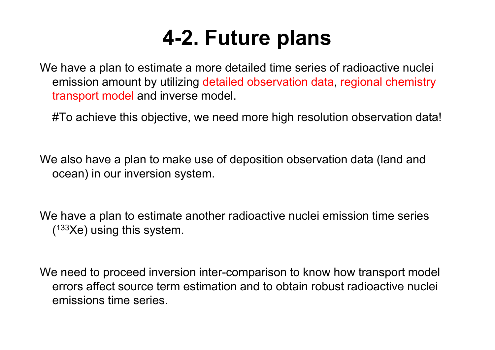## **4-2. Future plans**

We have a plan to estimate a more detailed time series of radioactive nuclei emission amount by utilizing detailed observation data, regional chemistry transport model and inverse model.

#To achieve this objective, we need more high resolution observation data!

We also have a plan to make use of deposition observation data (land and ocean) in our inversion system.

We have a plan to estimate another radioactive nuclei emission time series  $(133)$ Ke) using this system.

We need to proceed inversion inter-comparison to know how transport model errors affect source term estimation and to obtain robust radioactive nuclei emissions time series.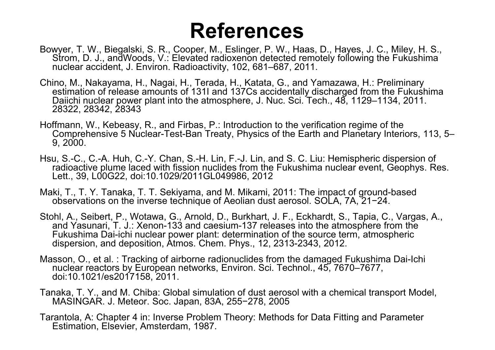### **References**

- Bowyer, T. W., Biegalski, S. R., Cooper, M., Eslinger, P. W., Haas, D., Hayes, J. C., Miley, H. S., Strom, D. J., andWoods, V.: Elevated radioxenon detected remotely following the Fukushima nuclear accident, J. Environ. Radioactivity, 102, 681–687, 2011.
- Chino, M., Nakayama, H., Nagai, H., Terada, H., Katata, G., and Yamazawa, H.: Preliminary estimation of release amounts of 131I and 137Cs accidentally discharged from the Fukushima Daiichi nuclear power plant into the atmosphere, J. Nuc. Sci. Tech., 48, 1129–1134, 2011. 28322, 28342, 28343
- Hoffmann, W., Kebeasy, R., and Firbas, P.: Introduction to the verification regime of the Comprehensive 5 Nuclear-Test-Ban Treaty, Physics of the Earth and Planetary Interiors, 113, 5–9, 2000.
- Hsu, S.-C., C.-A. Huh, C.-Y. Chan, S.-H. Lin, F.-J. Lin, and S. C. Liu: Hemispheric dispersion of radioactive plume laced with fission nuclides from the Fukushima nuclear event, Geophys. Res. Lett., 39, L00G22, doi:10.1029/2011GL049986, 2012
- Maki, T., T. Y. Tanaka, T. T. Sekiyama, and M. Mikami, 2011: The impact of ground-based observations on the inverse technique of Aeolian dust aerosol. SOLA, 7A, 21−24.
- Stohl, A., Seibert, P., Wotawa, G., Arnold, D., Burkhart, J. F., Eckhardt, S., Tapia, C., Vargas, A., and Yasunari, T. J.: Xenon-133 and caesium-137 releases into the atmosphere from the Fukushima Dai-ichi nuclear power plant: determination of the source term, atmospheric dispersion, and deposition, Atmos. Chem. Phys., 12, 2313-2343, 2012.
- Masson, O., et al. : Tracking of airborne radionuclides from the damaged Fukushima Dai-Ichi nuclear reactors by European networks, Environ, Sci. Technol., 45, 7670–7677, doi:10.1021/es2017158, 2011.
- Tanaka, T. Y., and M. Chiba: Global simulation of dust aerosol with a chemical transport Model, MASINGAR. J. Meteor. Soc. Japan, 83A, 255−278, 2005
- Tarantola, A: Chapter 4 in: Inverse Problem Theory: Methods for Data Fitting and Parameter Estimation, Elsevier, Amsterdam, 1987.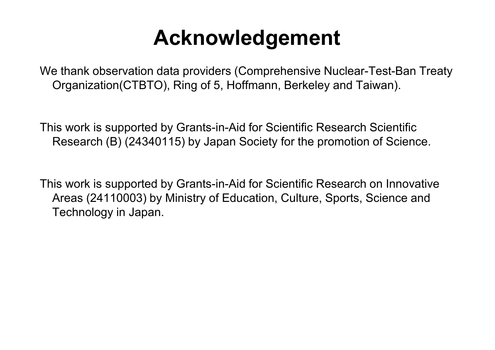## **Acknowledgement**

We thank observation data providers (Comprehensive Nuclear-Test-Ban Treaty Organization(CTBTO), Ring of 5, Hoffmann, Berkeley and Taiwan).

This work is supported by Grants-in-Aid for Scientific Research Scientific Research (B) (24340115) by Japan Society for the promotion of Science.

This work is supported by Grants-in-Aid for Scientific Research on Innovative Areas (24110003) by Ministry of Education, Culture, Sports, Science and Technology in Japan.